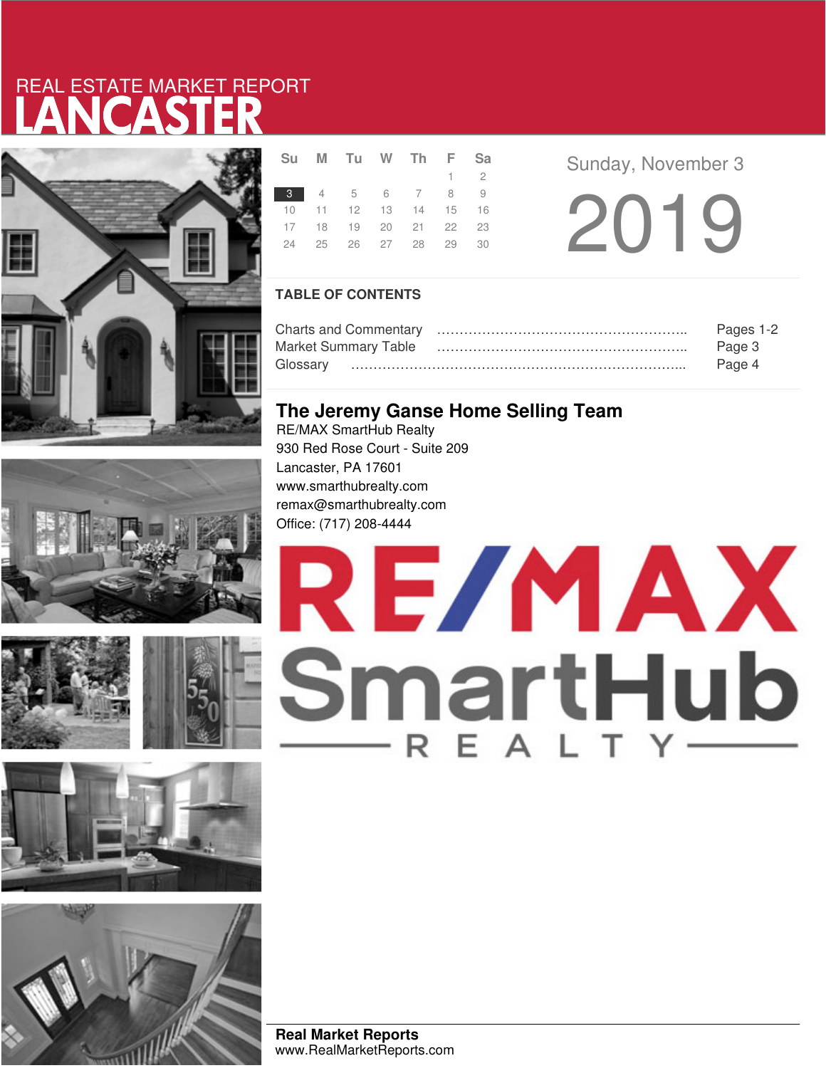# LANCASTER REAL ESTATE MARKET REPORT







|  | Su M Tu W Th F Sa          |  |             |
|--|----------------------------|--|-------------|
|  |                            |  | $1 \quad 2$ |
|  | 3 4 5 6 7 8 9              |  |             |
|  | 10 11 12 13 14 15 16       |  |             |
|  | 17 18 19 20 21 22 23       |  |             |
|  | 24  25  26  27  28  29  30 |  |             |
|  |                            |  |             |

**Sunday, November 3** 

2019

### **TABLE OF CONTENTS**

| Pages 1-2 |
|-----------|
| Page 3    |
| Page 4    |

### **The Jeremy Ganse Home Selling Team**

RE/MAX SmartHub Realty 930 Red Rose Court - Suite 209 Lancaster, PA 17601 www.smarthubrealty.com remax@smarthubrealty.com Office: (717) 208-4444



**Real Market Reports** www.RealMarketReports.com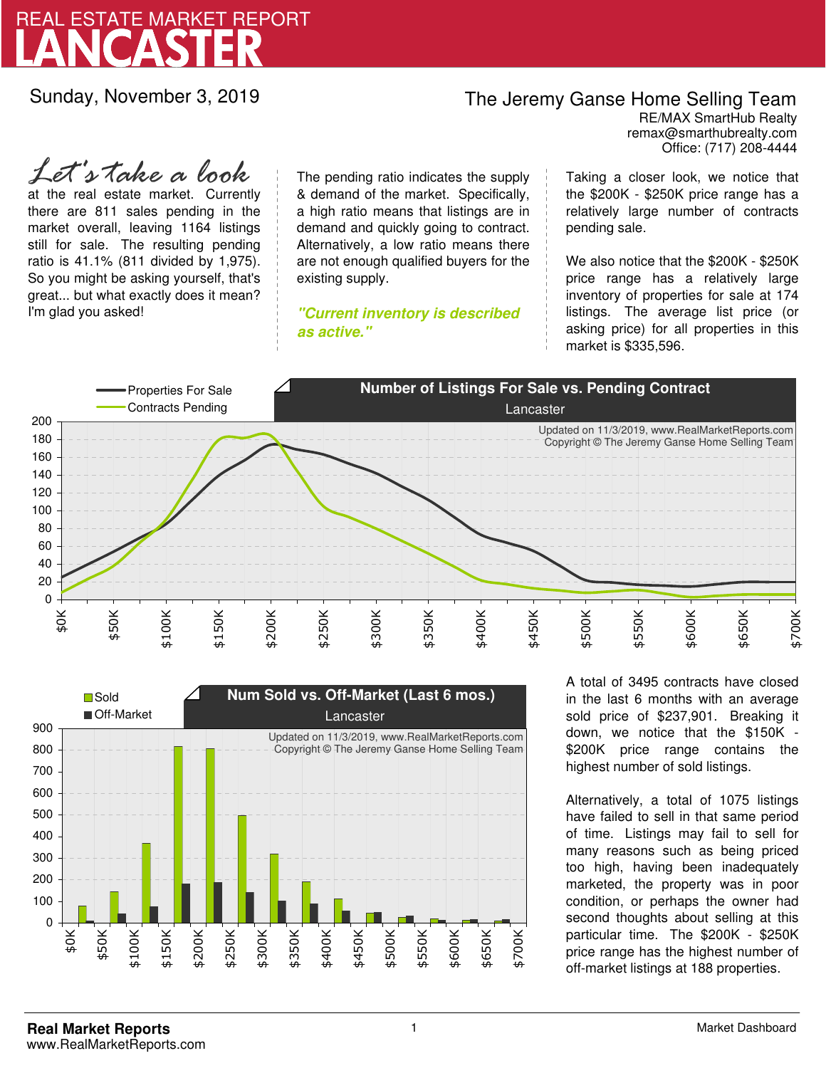

Sunday, November 3, 2019

### The Jeremy Ganse Home Selling Team

remax@smarthubrealty.com RE/MAX SmartHub Realty Office: (717) 208-4444

at the real estate market. Currently there are 811 sales pending in the market overall, leaving 1164 listings still for sale. The resulting pending ratio is 41.1% (811 divided by 1,975). So you might be asking yourself, that's great... but what exactly does it mean? I'm glad you asked! *Let's take a look*

The pending ratio indicates the supply & demand of the market. Specifically, a high ratio means that listings are in demand and quickly going to contract. Alternatively, a low ratio means there are not enough qualified buyers for the existing supply.

**"Current inventory is described as active."**

Taking a closer look, we notice that the \$200K - \$250K price range has a relatively large number of contracts pending sale.

We also notice that the \$200K - \$250K price range has a relatively large inventory of properties for sale at 174 listings. The average list price (or asking price) for all properties in this market is \$335,596.





A total of 3495 contracts have closed in the last 6 months with an average sold price of \$237,901. Breaking it down, we notice that the \$150K - \$200K price range contains the highest number of sold listings.

Alternatively, a total of 1075 listings have failed to sell in that same period of time. Listings may fail to sell for many reasons such as being priced too high, having been inadequately marketed, the property was in poor condition, or perhaps the owner had second thoughts about selling at this particular time. The \$200K - \$250K price range has the highest number of off-market listings at 188 properties.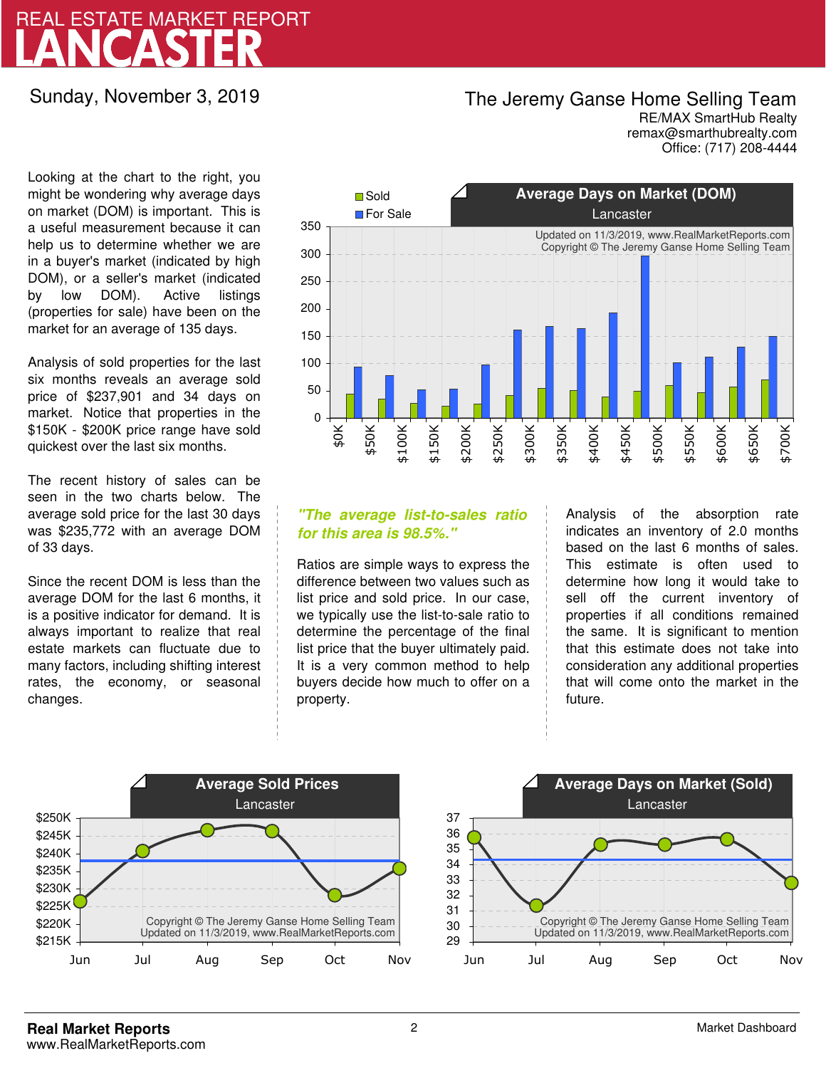# LANCASTER REAL ESTATE MARKET REPORT

Sunday, November 3, 2019

### The Jeremy Ganse Home Selling Team

remax@smarthubrealty.com RE/MAX SmartHub Realty Office: (717) 208-4444

Looking at the chart to the right, you might be wondering why average days on market (DOM) is important. This is a useful measurement because it can help us to determine whether we are in a buyer's market (indicated by high DOM), or a seller's market (indicated by low DOM). Active listings (properties for sale) have been on the market for an average of 135 days.

Analysis of sold properties for the last six months reveals an average sold price of \$237,901 and 34 days on market. Notice that properties in the \$150K - \$200K price range have sold quickest over the last six months.

The recent history of sales can be seen in the two charts below. The average sold price for the last 30 days was \$235,772 with an average DOM of 33 days.

Since the recent DOM is less than the average DOM for the last 6 months, it is a positive indicator for demand. It is always important to realize that real estate markets can fluctuate due to many factors, including shifting interest rates, the economy, or seasonal changes.



### **"The average list-to-sales ratio for this area is 98.5%."**

Ratios are simple ways to express the difference between two values such as list price and sold price. In our case, we typically use the list-to-sale ratio to determine the percentage of the final list price that the buyer ultimately paid. It is a very common method to help buyers decide how much to offer on a property.

Analysis of the absorption rate indicates an inventory of 2.0 months based on the last 6 months of sales. This estimate is often used to determine how long it would take to sell off the current inventory of properties if all conditions remained the same. It is significant to mention that this estimate does not take into consideration any additional properties that will come onto the market in the future.



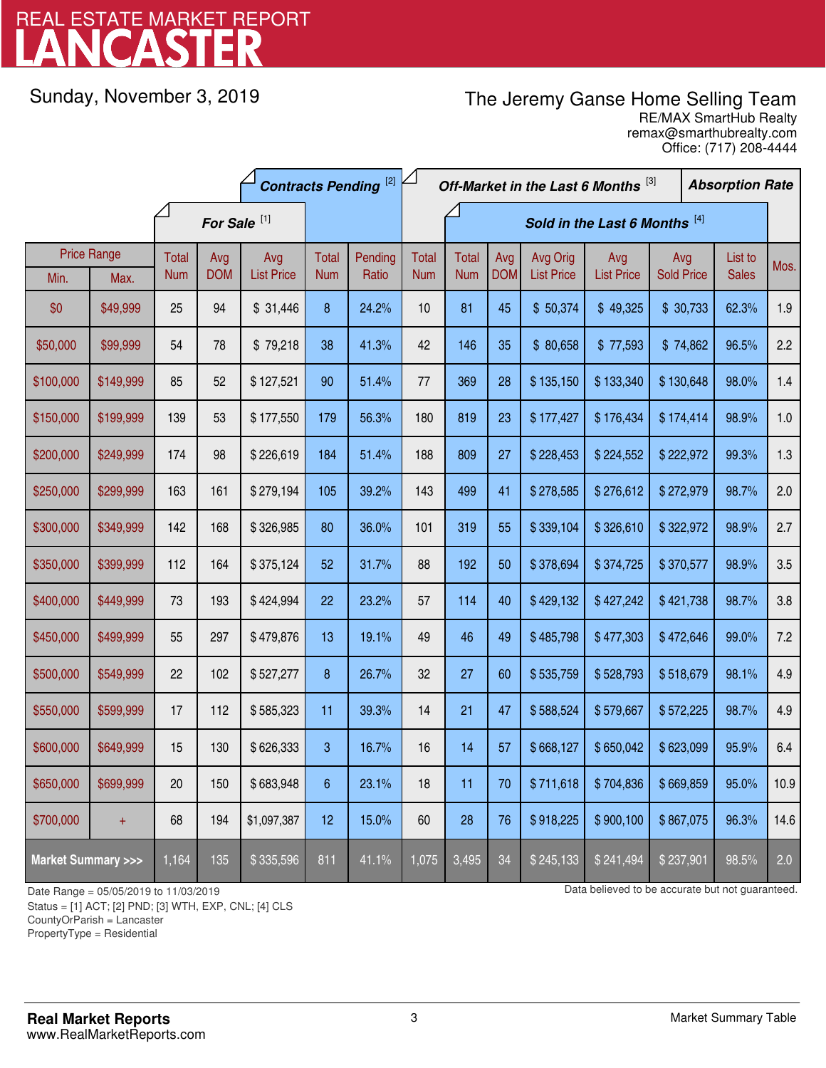# LANCASTER REAL ESTATE MARKET REPORT

Sunday, November 3, 2019

## The Jeremy Ganse Home Selling Team

remax@smarthubrealty.com RE/MAX SmartHub Realty Office: (717) 208-4444

|                                    |                    | <b>Contracts Pending [2]</b> |            |                   |            | Off-Market in the Last 6 Months [3] |              |            |            |                   | <b>Absorption Rate</b> |                   |  |              |      |
|------------------------------------|--------------------|------------------------------|------------|-------------------|------------|-------------------------------------|--------------|------------|------------|-------------------|------------------------|-------------------|--|--------------|------|
|                                    |                    | For Sale <sup>[1]</sup>      |            |                   |            | Sold in the Last 6 Months [4]       |              |            |            |                   |                        |                   |  |              |      |
|                                    | <b>Price Range</b> | <b>Total</b>                 | Avg        | Avg               | Total      | Pending                             | <b>Total</b> | Total      | Avg        | Avg Orig          | Avg                    | Avg               |  | List to      | Mos. |
| Min.                               | Max.               | <b>Num</b>                   | <b>DOM</b> | <b>List Price</b> | <b>Num</b> | Ratio                               | <b>Num</b>   | <b>Num</b> | <b>DOM</b> | <b>List Price</b> | <b>List Price</b>      | <b>Sold Price</b> |  | <b>Sales</b> |      |
| \$0                                | \$49,999           | 25                           | 94         | \$31,446          | 8          | 24.2%                               | 10           | 81         | 45         | \$50,374          | \$49,325               | \$30,733          |  | 62.3%        | 1.9  |
| \$50,000                           | \$99,999           | 54                           | 78         | \$79,218          | 38         | 41.3%                               | 42           | 146        | 35         | \$80,658          | \$77,593               | \$74,862          |  | 96.5%        | 2.2  |
| \$100,000                          | \$149,999          | 85                           | 52         | \$127,521         | 90         | 51.4%                               | 77           | 369        | 28         | \$135,150         | \$133,340              | \$130,648         |  | 98.0%        | 1.4  |
| \$150,000                          | \$199,999          | 139                          | 53         | \$177,550         | 179        | 56.3%                               | 180          | 819        | 23         | \$177,427         | \$176,434              | \$174,414         |  | 98.9%        | 1.0  |
| \$200,000                          | \$249,999          | 174                          | 98         | \$226,619         | 184        | 51.4%                               | 188          | 809        | 27         | \$228,453         | \$224,552              | \$222,972         |  | 99.3%        | 1.3  |
| \$250,000                          | \$299,999          | 163                          | 161        | \$279,194         | 105        | 39.2%                               | 143          | 499        | 41         | \$278,585         | \$276,612              | \$272,979         |  | 98.7%        | 2.0  |
| \$300,000                          | \$349,999          | 142                          | 168        | \$326,985         | 80         | 36.0%                               | 101          | 319        | 55         | \$339,104         | \$326,610              | \$322,972         |  | 98.9%        | 2.7  |
| \$350,000                          | \$399,999          | 112                          | 164        | \$375,124         | 52         | 31.7%                               | 88           | 192        | 50         | \$378,694         | \$374,725              | \$370,577         |  | 98.9%        | 3.5  |
| \$400,000                          | \$449,999          | 73                           | 193        | \$424,994         | 22         | 23.2%                               | 57           | 114        | 40         | \$429,132         | \$427,242              | \$421,738         |  | 98.7%        | 3.8  |
| \$450,000                          | \$499,999          | 55                           | 297        | \$479,876         | 13         | 19.1%                               | 49           | 46         | 49         | \$485,798         | \$477,303              | \$472,646         |  | 99.0%        | 7.2  |
| \$500,000                          | \$549,999          | 22                           | 102        | \$527,277         | 8          | 26.7%                               | 32           | 27         | 60         | \$535,759         | \$528,793              | \$518,679         |  | 98.1%        | 4.9  |
| \$550,000                          | \$599,999          | 17                           | 112        | \$585,323         | 11         | 39.3%                               | 14           | 21         | 47         | \$588,524         | \$579,667              | \$572,225         |  | 98.7%        | 4.9  |
| \$600,000                          | \$649,999          | 15                           | 130        | \$626,333         | 3          | 16.7%                               | 16           | 14         | 57         | \$668,127         | \$650,042              | \$623,099         |  | 95.9%        | 6.4  |
| \$650,000                          | \$699,999          | 20                           | 150        | \$683,948         | 6          | 23.1%                               | 18           | 11         | 70         | \$711,618         | \$704,836              | \$669,859         |  | 95.0%        | 10.9 |
| \$700,000                          | $+$                | 68                           | 194        | \$1,097,387       | 12         | 15.0%                               | 60           | 28         | 76         | \$918,225         | \$900,100              | \$867,075         |  | 96.3%        | 14.6 |
| <b>Market Summary &gt;&gt;&gt;</b> |                    | 1,164                        | 135        | \$335,596         | 811        | 41.1%                               | 1,075        | 3,495      | 34         | \$245,133         | \$241,494              | \$237,901         |  | 98.5%        | 2.0  |

Status = [1] ACT; [2] PND; [3] WTH, EXP, CNL; [4] CLS

CountyOrParish = Lancaster

PropertyType = Residential

-

Date Range = 05/05/2019 to 11/03/2019 10 11/03/2019 Case of the Data believed to be accurate but not guaranteed.